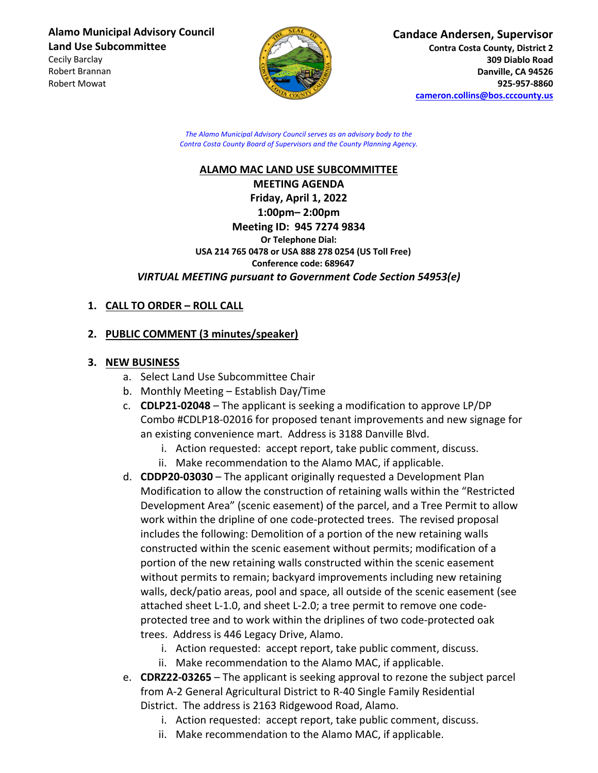**Alamo Municipal Advisory Council Land Use Subcommittee** 

Cecily Barclay Robert Brannan Robert Mowat



**Candace Andersen, Supervisor**

**Contra Costa County, District 2 309 Diablo Road Danville, CA 94526 925-957-8860 cameron.collins@bos.cccounty.us**

*The Alamo Municipal Advisory Council serves as an advisory body to the Contra Costa County Board of Supervisors and the County Planning Agency.*

## **ALAMO MAC LAND USE SUBCOMMITTEE**

**MEETING AGENDA Friday, April 1, 2022 1:00pm– 2:00pm Meeting ID: 945 7274 9834 Or Telephone Dial: USA 214 765 0478 or USA 888 278 0254 (US Toll Free) Conference code: 689647** *VIRTUAL MEETING pursuant to Government Code Section 54953(e)*

# **1. CALL TO ORDER – ROLL CALL**

# **2. PUBLIC COMMENT (3 minutes/speaker)**

## **3. NEW BUSINESS**

- a. Select Land Use Subcommittee Chair
- b. Monthly Meeting Establish Day/Time
- c. **CDLP21-02048** The applicant is seeking a modification to approve LP/DP Combo #CDLP18-02016 for proposed tenant improvements and new signage for an existing convenience mart. Address is 3188 Danville Blvd.
	- i. Action requested: accept report, take public comment, discuss.
	- ii. Make recommendation to the Alamo MAC, if applicable.
- d. **CDDP20-03030** The applicant originally requested a Development Plan Modification to allow the construction of retaining walls within the "Restricted Development Area" (scenic easement) of the parcel, and a Tree Permit to allow work within the dripline of one code-protected trees. The revised proposal includes the following: Demolition of a portion of the new retaining walls constructed within the scenic easement without permits; modification of a portion of the new retaining walls constructed within the scenic easement without permits to remain; backyard improvements including new retaining walls, deck/patio areas, pool and space, all outside of the scenic easement (see attached sheet L-1.0, and sheet L-2.0; a tree permit to remove one codeprotected tree and to work within the driplines of two code-protected oak trees. Address is 446 Legacy Drive, Alamo.
	- i. Action requested: accept report, take public comment, discuss.
	- ii. Make recommendation to the Alamo MAC, if applicable.
- e. **CDRZ22-03265** The applicant is seeking approval to rezone the subject parcel from A-2 General Agricultural District to R-40 Single Family Residential District. The address is 2163 Ridgewood Road, Alamo.
	- i. Action requested: accept report, take public comment, discuss.
	- ii. Make recommendation to the Alamo MAC, if applicable.